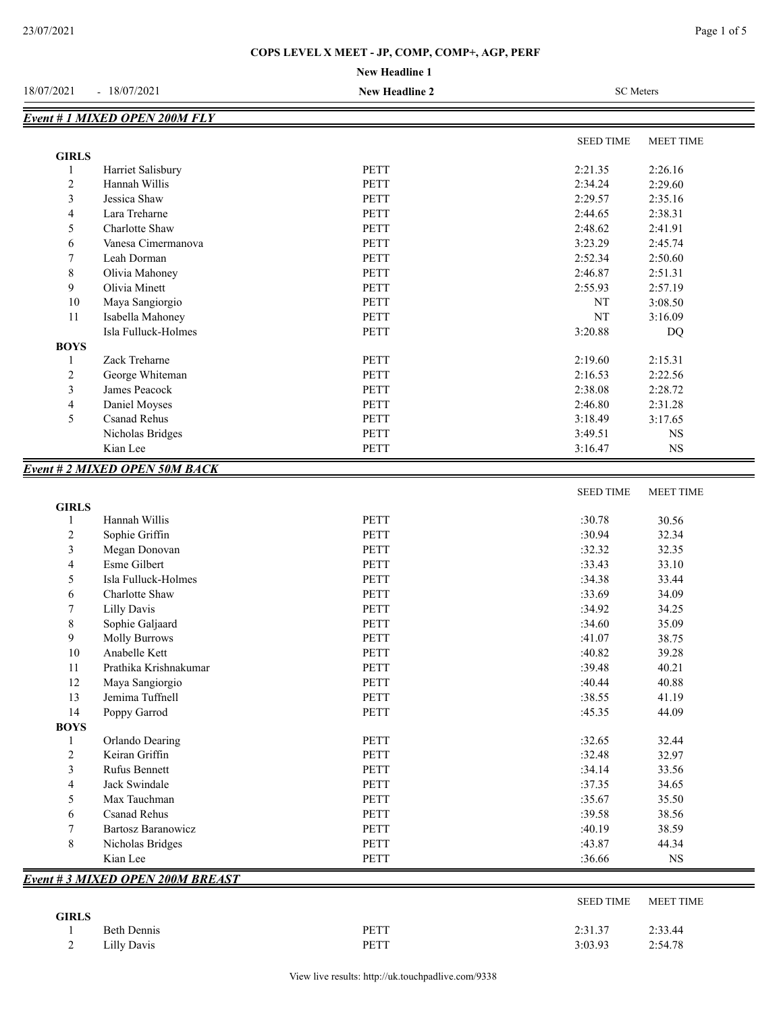## **COPS LEVEL X MEET - JP, COMP, COMP+, AGP, PERF**

#### **New Headline 1**

| 18/07/2021                   | $-18/07/2021$                       | <b>New Headline 2</b> | <b>SC</b> Meters |                  |
|------------------------------|-------------------------------------|-----------------------|------------------|------------------|
|                              | Event # 1 MIXED OPEN 200M FLY       |                       |                  |                  |
|                              |                                     |                       | <b>SEED TIME</b> | <b>MEET TIME</b> |
| <b>GIRLS</b>                 |                                     |                       |                  |                  |
| $\mathbf{1}$                 | Harriet Salisbury                   | PETT                  | 2:21.35          | 2:26.16          |
| $\overline{2}$               | Hannah Willis                       | PETT                  | 2:34.24          | 2:29.60          |
| 3                            | Jessica Shaw                        | PETT                  | 2:29.57          | 2:35.16          |
| $\overline{\mathbf{4}}$      | Lara Treharne                       | <b>PETT</b>           | 2:44.65          | 2:38.31          |
| 5                            | Charlotte Shaw                      | PETT                  | 2:48.62          | 2:41.91          |
| 6                            | Vanesa Cimermanova                  | PETT                  | 3:23.29          | 2:45.74          |
| 7                            | Leah Dorman                         | PETT                  | 2:52.34          | 2:50.60          |
| $\,$ 8 $\,$                  | Olivia Mahoney                      | PETT                  | 2:46.87          | 2:51.31          |
| 9                            | Olivia Minett                       | <b>PETT</b>           | 2:55.93          | 2:57.19          |
| 10                           | Maya Sangiorgio                     | PETT                  | NT               | 3:08.50          |
| 11                           | Isabella Mahoney                    | <b>PETT</b>           | NT               | 3:16.09          |
|                              | Isla Fulluck-Holmes                 | PETT                  | 3:20.88          | DQ               |
| <b>BOYS</b>                  |                                     |                       |                  |                  |
| 1                            | Zack Treharne                       | PETT                  | 2:19.60          | 2:15.31          |
| $\overline{c}$               | George Whiteman                     | PETT                  | 2:16.53          | 2:22.56          |
| 3                            | James Peacock                       | PETT                  | 2:38.08          | 2:28.72          |
| $\overline{\mathbf{4}}$      | Daniel Moyses                       | PETT                  | 2:46.80          | 2:31.28          |
| 5                            | Csanad Rehus                        | PETT                  | 3:18.49          | 3:17.65          |
|                              | Nicholas Bridges                    | PETT                  | 3:49.51          | <b>NS</b>        |
|                              | Kian Lee                            | PETT                  | 3:16.47          | <b>NS</b>        |
|                              | <b>Event #2 MIXED OPEN 50M BACK</b> |                       |                  |                  |
|                              |                                     |                       | <b>SEED TIME</b> | <b>MEET TIME</b> |
| <b>GIRLS</b><br>$\mathbf{1}$ | Hannah Willis                       | PETT                  | :30.78           | 30.56            |
| $\overline{2}$               | Sophie Griffin                      | PETT                  | :30.94           | 32.34            |
| 3                            | Megan Donovan                       | PETT                  | :32.32           | 32.35            |
| $\overline{4}$               | Esme Gilbert                        | PETT                  | :33.43           | 33.10            |
| 5                            | Isla Fulluck-Holmes                 | PETT                  | :34.38           | 33.44            |
|                              |                                     | PETT                  | :33.69           | 34.09            |
| 6                            | Charlotte Shaw                      | PETT                  | :34.92           |                  |
| 7                            | <b>Lilly Davis</b>                  |                       |                  | 34.25            |
| $\,$ 8 $\,$                  | Sophie Galjaard                     | PETT                  | :34.60           | 35.09            |
| 9                            | Molly Burrows                       | PETT                  | :41.07           | 38.75            |
| $10\,$                       | Anabelle Kett                       | PETT                  | :40.82           | 39.28            |
| 11                           | Prathika Krishnakumar               | PETT                  | :39.48           | 40.21            |
| 12                           | Maya Sangiorgio                     | PETT                  | :40.44           | 40.88            |
| 13                           | Jemima Tuffnell                     | PETT                  | :38.55           | 41.19            |
| 14                           | Poppy Garrod                        | PETT                  | :45.35           | 44.09            |

| 14          | Poppy Garrod                           | <b>PETT</b> | :45.35           | 44.09            |
|-------------|----------------------------------------|-------------|------------------|------------------|
| <b>BOYS</b> |                                        |             |                  |                  |
|             | Orlando Dearing                        | <b>PETT</b> | :32.65           | 32.44            |
| 2           | Keiran Griffin                         | <b>PETT</b> | :32.48           | 32.97            |
| 3           | <b>Rufus Bennett</b>                   | <b>PETT</b> | :34.14           | 33.56            |
| 4           | Jack Swindale                          | <b>PETT</b> | :37.35           | 34.65            |
| 5           | Max Tauchman                           | <b>PETT</b> | :35.67           | 35.50            |
| 6           | Csanad Rehus                           | <b>PETT</b> | :39.58           | 38.56            |
|             | Bartosz Baranowicz                     | <b>PETT</b> | :40.19           | 38.59            |
| 8           | Nicholas Bridges                       | <b>PETT</b> | :43.87           | 44.34            |
|             | Kian Lee                               | <b>PETT</b> | :36.66           | NS               |
|             | <b>Event #3 MIXED OPEN 200M BREAST</b> |             |                  |                  |
|             |                                        |             | <b>SEED TIME</b> | <b>MEET TIME</b> |

| <b>GIRLS</b>  |                    |             |         |         |
|---------------|--------------------|-------------|---------|---------|
|               | <b>Beth Dennis</b> | <b>PETT</b> | 2:31.37 | 2:33.44 |
| $\gamma$<br>∼ | Lilly Davis        | <b>PETT</b> | 3:03.93 | 2:54.78 |

 $=$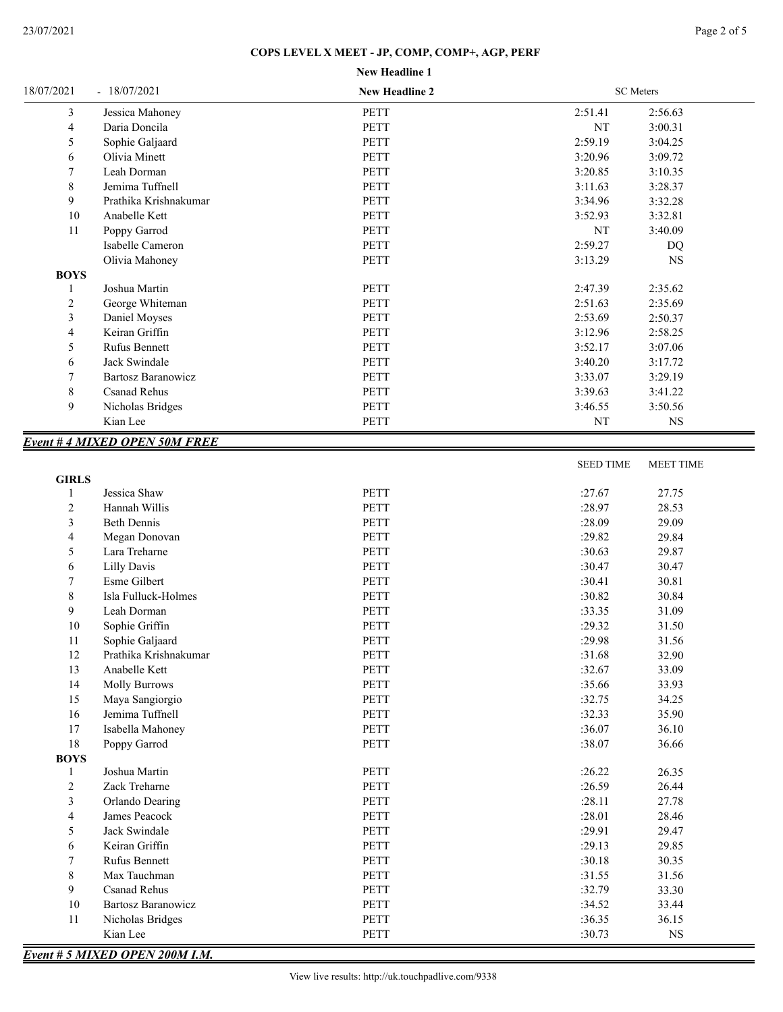# **New Headline 1 COPS LEVEL X MEET - JP, COMP, COMP+, AGP, PERF**

| 18/07/2021                  | $-18/07/2021$                         | <b>New Headline 2</b> |                  | SC Meters        |
|-----------------------------|---------------------------------------|-----------------------|------------------|------------------|
| 3                           | Jessica Mahoney                       | <b>PETT</b>           | 2:51.41          | 2:56.63          |
| $\overline{4}$              | Daria Doncila                         | PETT                  | NT               | 3:00.31          |
| 5                           | Sophie Galjaard                       | <b>PETT</b>           | 2:59.19          | 3:04.25          |
| 6                           | Olivia Minett                         | <b>PETT</b>           | 3:20.96          | 3:09.72          |
| 7                           | Leah Dorman                           | <b>PETT</b>           | 3:20.85          | 3:10.35          |
| 8                           | Jemima Tuffnell                       | <b>PETT</b>           | 3:11.63          | 3:28.37          |
| 9                           | Prathika Krishnakumar                 | <b>PETT</b>           | 3:34.96          | 3:32.28          |
| $10\,$                      | Anabelle Kett                         | <b>PETT</b>           | 3:52.93          | 3:32.81          |
| 11                          | Poppy Garrod                          | <b>PETT</b>           | NT               | 3:40.09          |
|                             | Isabelle Cameron                      | <b>PETT</b>           | 2:59.27          | DQ               |
|                             | Olivia Mahoney                        | <b>PETT</b>           | 3:13.29          | <b>NS</b>        |
| <b>BOYS</b>                 |                                       |                       |                  |                  |
| $\mathbf{1}$                | Joshua Martin                         | <b>PETT</b>           | 2:47.39          | 2:35.62          |
| $\overline{c}$              | George Whiteman                       | <b>PETT</b>           | 2:51.63          | 2:35.69          |
| 3                           | Daniel Moyses                         | <b>PETT</b>           | 2:53.69          | 2:50.37          |
| 4                           | Keiran Griffin                        | PETT                  | 3:12.96          | 2:58.25          |
| 5                           | <b>Rufus Bennett</b>                  | <b>PETT</b>           | 3:52.17          | 3:07.06          |
| 6                           | Jack Swindale                         | <b>PETT</b>           | 3:40.20          | 3:17.72          |
| 7                           | <b>Bartosz Baranowicz</b>             | <b>PETT</b>           | 3:33.07          | 3:29.19          |
| 8                           | <b>Csanad Rehus</b>                   | PETT                  | 3:39.63          | 3:41.22          |
| 9                           | Nicholas Bridges                      | PETT                  | 3:46.55          | 3:50.56          |
|                             | Kian Lee                              | PETT                  | NT               | NS               |
|                             |                                       |                       |                  |                  |
|                             | <b>Event #4 MIXED OPEN 50M FREE</b>   |                       |                  |                  |
|                             |                                       |                       | <b>SEED TIME</b> | <b>MEET TIME</b> |
| <b>GIRLS</b><br>1           | Jessica Shaw                          | <b>PETT</b>           | :27.67           | 27.75            |
| $\overline{c}$              | Hannah Willis                         | <b>PETT</b>           | :28.97           | 28.53            |
| 3                           | <b>Beth Dennis</b>                    | <b>PETT</b>           | :28.09           | 29.09            |
| 4                           | Megan Donovan                         | <b>PETT</b>           | :29.82           | 29.84            |
| 5                           | Lara Treharne                         | <b>PETT</b>           | :30.63           | 29.87            |
| 6                           | <b>Lilly Davis</b>                    | <b>PETT</b>           | :30.47           | 30.47            |
| 7                           | Esme Gilbert                          | PETT                  | :30.41           | 30.81            |
| 8                           | Isla Fulluck-Holmes                   | PETT                  | :30.82           | 30.84            |
| 9                           | Leah Dorman                           | PETT                  | :33.35           | 31.09            |
| $10\,$                      | Sophie Griffin                        | PETT                  | :29.32           | 31.50            |
| 11                          | Sophie Galjaard                       | PETT                  | :29.98           | 31.56            |
| 12                          | Prathika Krishnakumar                 | PETT                  | :31.68           |                  |
|                             |                                       |                       |                  | 32.90            |
| 13<br>14                    | Anabelle Kett<br><b>Molly Burrows</b> | PETT<br>PETT          | :32.67           | 33.09            |
|                             |                                       |                       | :35.66           | 33.93            |
| 15                          | Maya Sangiorgio                       | PETT                  | :32.75           | 34.25            |
| 16                          | Jemima Tuffnell                       | PETT                  | :32.33           | 35.90            |
| 17                          | Isabella Mahoney                      | PETT                  | :36.07           | 36.10            |
| 18                          | Poppy Garrod                          | PETT                  | :38.07           | 36.66            |
| <b>BOYS</b><br>$\mathbf{1}$ | Joshua Martin                         | PETT                  | :26.22           | 26.35            |
| $\overline{c}$              | Zack Treharne                         | PETT                  | :26.59           | 26.44            |
|                             | Orlando Dearing                       | PETT                  | :28.11           | 27.78            |
| 3                           |                                       | PETT                  | :28.01           |                  |
| 4                           | James Peacock                         |                       |                  | 28.46            |
| 5                           | Jack Swindale                         | PETT                  | :29.91           | 29.47            |
| 6                           | Keiran Griffin                        | PETT                  | :29.13           | 29.85            |
| $\tau$                      | Rufus Bennett                         | PETT                  | :30.18           | 30.35            |
| 8                           | Max Tauchman                          | PETT                  | :31.55           | 31.56            |
| 9                           | Csanad Rehus                          | PETT                  | :32.79           | 33.30            |
| 10                          | <b>Bartosz Baranowicz</b>             | PETT                  | :34.52           | 33.44            |

*Event # 5 MIXED OPEN 200M I.M.*

11 Nicholas Bridges PETT :36.35 36.15 Kian Lee South States Reference Reference PETT 30.73 NS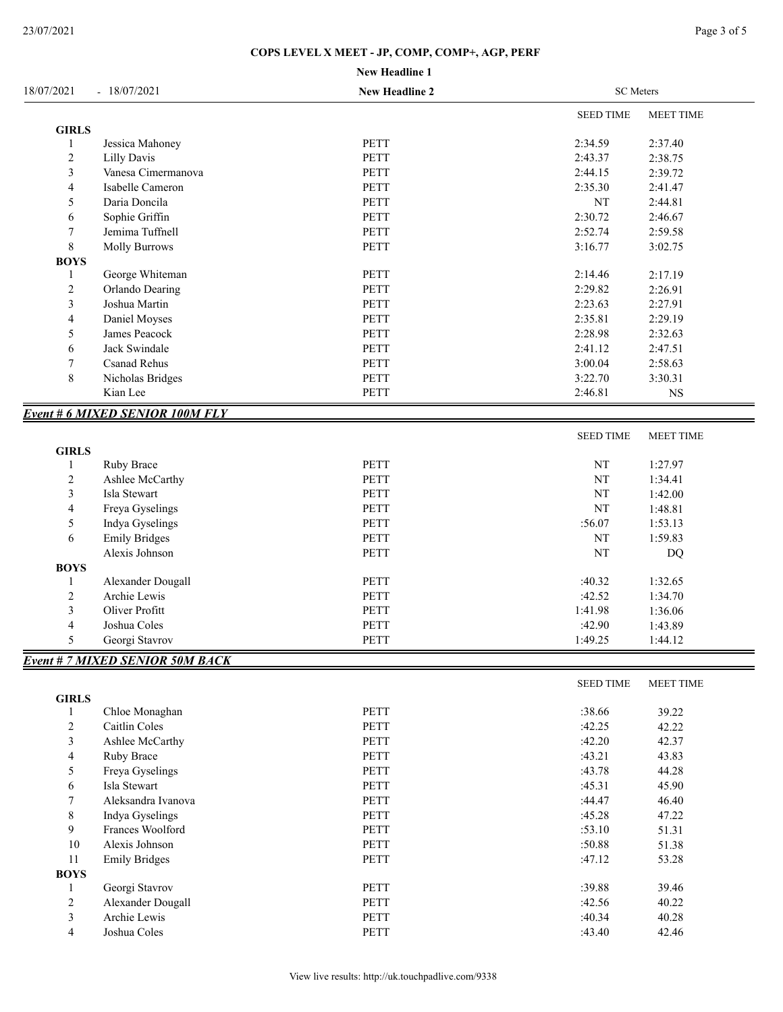|                         |                                        | <b>New Headline 1</b> |                  |                  |
|-------------------------|----------------------------------------|-----------------------|------------------|------------------|
| 18/07/2021              | $-18/07/2021$                          | <b>New Headline 2</b> | <b>SC</b> Meters |                  |
|                         |                                        |                       | <b>SEED TIME</b> | <b>MEET TIME</b> |
| <b>GIRLS</b>            |                                        |                       |                  |                  |
| $\mathbf{1}$            | Jessica Mahoney                        | PETT                  | 2:34.59          | 2:37.40          |
| $\overline{c}$          | <b>Lilly Davis</b>                     | <b>PETT</b>           | 2:43.37          | 2:38.75          |
| $\mathfrak{Z}$          | Vanesa Cimermanova                     | PETT                  | 2:44.15          | 2:39.72          |
| $\overline{\mathbf{4}}$ | Isabelle Cameron                       | PETT                  | 2:35.30          | 2:41.47          |
| 5                       | Daria Doncila                          | PETT                  | NT               | 2:44.81          |
| 6                       | Sophie Griffin                         | PETT                  | 2:30.72          | 2:46.67          |
| 7                       | Jemima Tuffnell                        | <b>PETT</b>           | 2:52.74          | 2:59.58          |
| $8\,$                   | <b>Molly Burrows</b>                   | <b>PETT</b>           | 3:16.77          | 3:02.75          |
| <b>BOYS</b>             |                                        |                       |                  |                  |
| 1                       | George Whiteman                        | PETT                  | 2:14.46          | 2:17.19          |
| $\overline{c}$          | Orlando Dearing                        | <b>PETT</b>           | 2:29.82          | 2:26.91          |
| 3                       | Joshua Martin                          | PETT                  | 2:23.63          | 2:27.91          |
| $\overline{4}$          | Daniel Moyses                          | PETT                  | 2:35.81          | 2:29.19          |
| 5                       | James Peacock                          | PETT                  | 2:28.98          | 2:32.63          |
| 6                       | Jack Swindale                          | PETT                  | 2:41.12          | 2:47.51          |
| 7                       | <b>Csanad Rehus</b>                    | PETT                  | 3:00.04          | 2:58.63          |
| 8                       | Nicholas Bridges                       | PETT                  | 3:22.70          | 3:30.31          |
|                         | Kian Lee                               | PETT                  | 2:46.81          | <b>NS</b>        |
|                         | <b>Event # 6 MIXED SENIOR 100M FLY</b> |                       |                  |                  |
|                         |                                        |                       | <b>SEED TIME</b> | <b>MEET TIME</b> |
| <b>GIRLS</b>            |                                        |                       |                  |                  |
| 1                       | Ruby Brace                             | PETT                  | NT               | 1:27.97          |
| $\overline{c}$          | Ashlee McCarthy                        | PETT                  | NT               | 1:34.41          |
| 3                       | Isla Stewart                           | PETT                  | NT               | 1:42.00          |
| 4                       | Freya Gyselings                        | <b>PETT</b>           | NT               | 1:48.81          |
| 5                       | Indya Gyselings                        | PETT                  | :56.07           | 1:53.13          |
| 6                       | <b>Emily Bridges</b>                   | PETT                  | $\rm{NT}$        | 1:59.83          |
|                         | Alexis Johnson                         | <b>PETT</b>           | NT               | <b>DQ</b>        |
| <b>BOYS</b>             |                                        |                       |                  |                  |
| 1                       | Alexander Dougall                      | <b>PETT</b>           | :40.32           | 1:32.65          |
| $\mathfrak{2}$          | Archie Lewis                           | PETT                  | :42.52           | 1:34.70          |
| 3                       | Oliver Profitt                         | PETT                  | 1:41.98          | 1:36.06          |
| $\overline{\mathbf{4}}$ | Joshua Coles                           | PETT                  | :42.90           | 1:43.89          |
| 5                       | Georgi Stavrov                         | PETT                  | 1:49.25          | 1:44.12          |
|                         | <b>Event # 7 MIXED SENIOR 50M BACK</b> |                       |                  |                  |

|              |                      |             | <b>SEED TIME</b> | <b>MEET TIME</b> |
|--------------|----------------------|-------------|------------------|------------------|
| <b>GIRLS</b> |                      |             |                  |                  |
| -1           | Chloe Monaghan       | <b>PETT</b> | :38.66           | 39.22            |
| 2            | Caitlin Coles        | <b>PETT</b> | :42.25           | 42.22            |
| 3            | Ashlee McCarthy      | <b>PETT</b> | :42.20           | 42.37            |
| 4            | Ruby Brace           | <b>PETT</b> | :43.21           | 43.83            |
| 5            | Freya Gyselings      | <b>PETT</b> | :43.78           | 44.28            |
| 6            | Isla Stewart         | <b>PETT</b> | :45.31           | 45.90            |
|              | Aleksandra Ivanova   | <b>PETT</b> | :44.47           | 46.40            |
| 8            | Indya Gyselings      | <b>PETT</b> | :45.28           | 47.22            |
| 9            | Frances Woolford     | <b>PETT</b> | :53.10           | 51.31            |
| 10           | Alexis Johnson       | <b>PETT</b> | :50.88           | 51.38            |
| 11           | <b>Emily Bridges</b> | PETT        | :47.12           | 53.28            |
| <b>BOYS</b>  |                      |             |                  |                  |
|              | Georgi Stavrov       | <b>PETT</b> | :39.88           | 39.46            |
| 2            | Alexander Dougall    | <b>PETT</b> | :42.56           | 40.22            |
| 3            | Archie Lewis         | <b>PETT</b> | :40.34           | 40.28            |
| 4            | Joshua Coles         | <b>PETT</b> | :43.40           | 42.46            |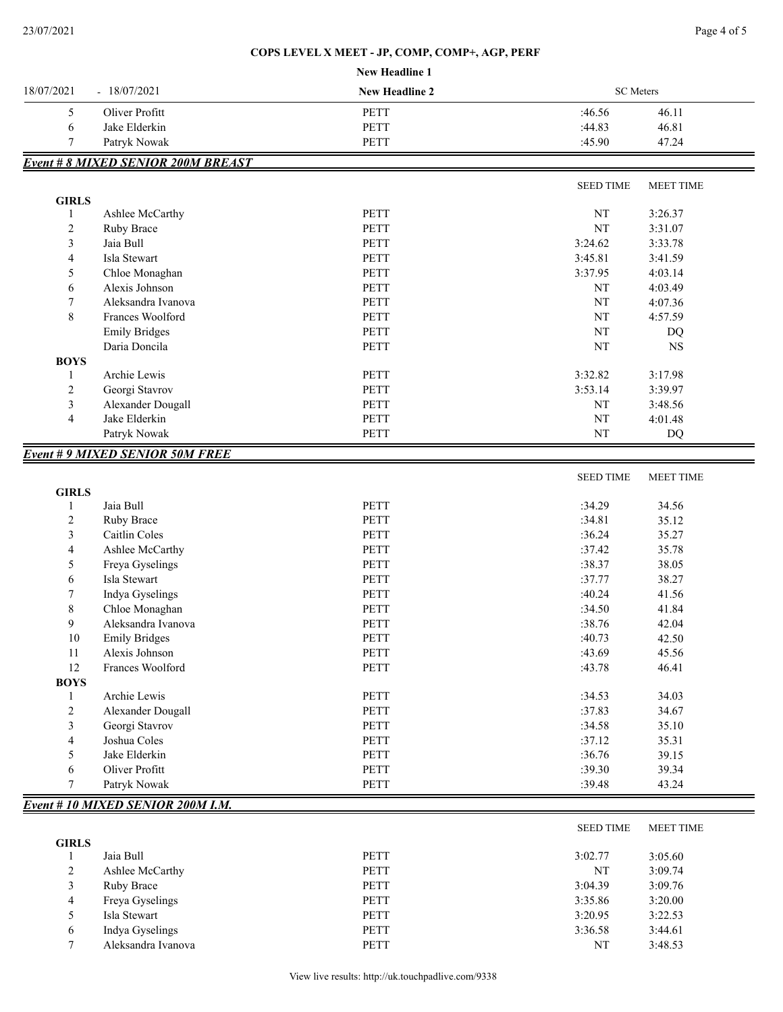### **COPS LEVEL X MEET - JP, COMP, COMP+, AGP, PERF**

|                             |                                           | New Headline 1        |                  |                  |
|-----------------------------|-------------------------------------------|-----------------------|------------------|------------------|
| 18/07/2021<br>$-18/07/2021$ |                                           | <b>New Headline 2</b> | <b>SC</b> Meters |                  |
| 5                           | Oliver Profitt                            | <b>PETT</b>           | :46.56           | 46.11            |
| 6                           | Jake Elderkin                             | <b>PETT</b>           | :44.83           | 46.81            |
| 7                           | Patryk Nowak                              | PETT                  | :45.90           | 47.24            |
|                             | <b>Event # 8 MIXED SENIOR 200M BREAST</b> |                       |                  |                  |
|                             |                                           |                       | <b>SEED TIME</b> | <b>MEET TIME</b> |
| <b>GIRLS</b>                |                                           |                       |                  |                  |
| 1                           | Ashlee McCarthy                           | <b>PETT</b>           | NT               | 3:26.37          |
| $\overline{c}$              | Ruby Brace                                | <b>PETT</b>           | NT               | 3:31.07          |
| 3                           | Jaia Bull                                 | <b>PETT</b>           | 3:24.62          | 3:33.78          |
| 4                           | Isla Stewart                              | <b>PETT</b>           | 3:45.81          | 3:41.59          |
| 5                           | Chloe Monaghan                            | PETT                  | 3:37.95          | 4:03.14          |
| 6                           | Alexis Johnson                            | <b>PETT</b>           | NT               | 4:03.49          |
| 7                           | Aleksandra Ivanova                        | <b>PETT</b>           | NT               | 4:07.36          |
| $\,$ 8 $\,$                 | Frances Woolford                          | PETT                  | NT               | 4:57.59          |
|                             | <b>Emily Bridges</b>                      | PETT                  | NT               | DQ               |
|                             | Daria Doncila                             | <b>PETT</b>           | NT               | $_{\rm NS}$      |
| <b>BOYS</b>                 |                                           |                       |                  |                  |
| 1                           | Archie Lewis                              | <b>PETT</b>           | 3:32.82          | 3:17.98          |
| $\overline{c}$              | Georgi Stavrov                            | <b>PETT</b>           | 3:53.14          | 3:39.97          |
| 3                           | Alexander Dougall                         | <b>PETT</b>           | NT               | 3:48.56          |
| $\overline{4}$              | Jake Elderkin                             | <b>PETT</b>           | NT               | 4:01.48          |
|                             |                                           |                       |                  |                  |
|                             | Patryk Nowak                              | <b>PETT</b>           | NT               |                  |
|                             |                                           |                       |                  | DQ               |
|                             | <b>Event #9 MIXED SENIOR 50M FREE</b>     |                       |                  |                  |
| <b>GIRLS</b>                |                                           |                       | <b>SEED TIME</b> | MEET TIME        |
| 1                           | Jaia Bull                                 | <b>PETT</b>           | :34.29           | 34.56            |
| $\overline{c}$              |                                           | PETT                  | :34.81           | 35.12            |
| 3                           | Ruby Brace<br>Caitlin Coles               | <b>PETT</b>           | :36.24           |                  |
| 4                           |                                           | <b>PETT</b>           | :37.42           | 35.27            |
|                             | Ashlee McCarthy                           |                       |                  | 35.78            |
| 5                           | Freya Gyselings                           | <b>PETT</b>           | :38.37           | 38.05            |
| 6                           | Isla Stewart                              | PETT                  | :37.77           | 38.27            |
| 7                           | Indya Gyselings                           | <b>PETT</b>           | :40.24           | 41.56            |
| 8                           | Chloe Monaghan                            | <b>PETT</b>           | :34.50           | 41.84            |
| 9                           | Aleksandra Ivanova                        | <b>PETT</b>           | :38.76           | 42.04            |
| $10\,$                      | <b>Emily Bridges</b>                      | PETT                  | :40.73           | 42.50            |
| 11                          | Alexis Johnson                            | PETT                  | :43.69           | 45.56            |
| 12                          | Frances Woolford                          | PETT                  | :43.78           | 46.41            |
| <b>BOYS</b>                 |                                           |                       |                  |                  |
| 1                           | Archie Lewis                              | PETT                  | :34.53           | 34.03            |
| $\sqrt{2}$                  | Alexander Dougall                         | <b>PETT</b>           | :37.83           | 34.67            |
| 3                           | Georgi Stavrov                            | PETT                  | :34.58           | 35.10            |
| $\overline{4}$              | Joshua Coles                              | PETT                  | :37.12           | 35.31            |
| 5                           | Jake Elderkin                             | PETT                  | :36.76           | 39.15            |
| 6<br>$\tau$                 | Oliver Profitt<br>Patryk Nowak            | PETT<br>PETT          | :39.30<br>:39.48 | 39.34<br>43.24   |

|              |                    |             | <b>SEED TIME</b> | <b>MEET TIME</b> |
|--------------|--------------------|-------------|------------------|------------------|
| <b>GIRLS</b> |                    |             |                  |                  |
|              | Jaia Bull          | <b>PETT</b> | 3:02.77          | 3:05.60          |
| 2            | Ashlee McCarthy    | <b>PETT</b> | NT               | 3:09.74          |
| 3            | Ruby Brace         | <b>PETT</b> | 3:04.39          | 3:09.76          |
| 4            | Freya Gyselings    | <b>PETT</b> | 3:35.86          | 3:20.00          |
| 5            | Isla Stewart       | <b>PETT</b> | 3:20.95          | 3:22.53          |
| $\sigma$     | Indya Gyselings    | <b>PETT</b> | 3:36.58          | 3:44.61          |
|              | Aleksandra Ivanova | <b>PETT</b> | NT               | 3:48.53          |